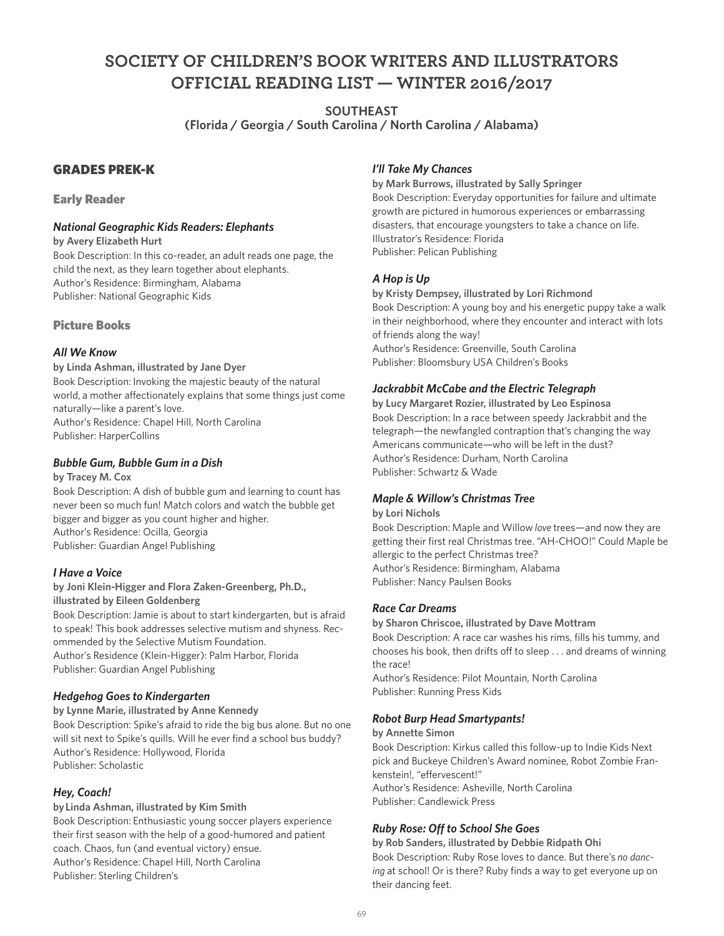# **SOCIETY OF CHILDREN'S BOOK WRITERS AND ILLUSTRATORS OFFICIAL READING LIST — WINTER 2016/2017**

**SOUTHEAST** 

**(Florida / Georgia / South Carolina / North Carolina / Alabama)**

## GRADES PREK-K

#### Early Reader

## *National Geographic Kids Readers: Elephants*

**by Avery Elizabeth Hurt**

Book Description: In this co-reader, an adult reads one page, the child the next, as they learn together about elephants. Author's Residence: Birmingham, Alabama Publisher: National Geographic Kids

## Picture Books

## *All We Know*

**by Linda Ashman, illustrated by Jane Dyer** Book Description: Invoking the majestic beauty of the natural world, a mother affectionately explains that some things just come naturally—like a parent's love. Author's Residence: Chapel Hill, North Carolina Publisher: HarperCollins

#### *Bubble Gum, Bubble Gum in a Dish*

#### **by Tracey M. Cox**

Book Description: A dish of bubble gum and learning to count has never been so much fun! Match colors and watch the bubble get bigger and bigger as you count higher and higher. Author's Residence: Ocilla, Georgia Publisher: Guardian Angel Publishing

#### *I Have a Voice*

#### **by Joni Klein-Higger and Flora Zaken-Greenberg, Ph.D., illustrated by Eileen Goldenberg**

Book Description: Jamie is about to start kindergarten, but is afraid to speak! This book addresses selective mutism and shyness. Recommended by the Selective Mutism Foundation. Author's Residence (Klein-Higger): Palm Harbor, Florida

Publisher: Guardian Angel Publishing

## *Hedgehog Goes to Kindergarten*

**by Lynne Marie, illustrated by Anne Kennedy** Book Description: Spike's afraid to ride the big bus alone. But no one will sit next to Spike's quills. Will he ever find a school bus buddy? Author's Residence: Hollywood, Florida Publisher: Scholastic

## *Hey, Coach!*

**by Linda Ashman, illustrated by Kim Smith**

Book Description: Enthusiastic young soccer players experience their first season with the help of a good-humored and patient coach. Chaos, fun (and eventual victory) ensue. Author's Residence: Chapel Hill, North Carolina Publisher: Sterling Children's

## *I'll Take My Chances*

**by Mark Burrows, illustrated by Sally Springer** Book Description: Everyday opportunities for failure and ultimate growth are pictured in humorous experiences or embarrassing disasters, that encourage youngsters to take a chance on life. Illustrator's Residence: Florida Publisher: Pelican Publishing

## *A Hop is Up*

**by Kristy Dempsey, illustrated by Lori Richmond** Book Description: A young boy and his energetic puppy take a walk in their neighborhood, where they encounter and interact with lots of friends along the way! Author's Residence: Greenville, South Carolina Publisher: Bloomsbury USA Children's Books

## *Jackrabbit McCabe and the Electric Telegraph*

**by Lucy Margaret Rozier, illustrated by Leo Espinosa** Book Description: In a race between speedy Jackrabbit and the telegraph—the newfangled contraption that's changing the way Americans communicate—who will be left in the dust? Author's Residence: Durham, North Carolina Publisher: Schwartz & Wade

#### *Maple & Willow's Christmas Tree*

#### **by Lori Nichols**

Book Description: Maple and Willow *love* trees—and now they are getting their first real Christmas tree. "AH-CHOO!" Could Maple be allergic to the perfect Christmas tree? Author's Residence: Birmingham, Alabama Publisher: Nancy Paulsen Books

#### *Race Car Dreams*

**by Sharon Chriscoe, illustrated by Dave Mottram** Book Description: A race car washes his rims, fills his tummy, and chooses his book, then drifts off to sleep . . . and dreams of winning the race!

Author's Residence: Pilot Mountain, North Carolina Publisher: Running Press Kids

#### *Robot Burp Head Smartypants!*

#### **by Annette Simon**

Book Description: Kirkus called this follow-up to Indie Kids Next pick and Buckeye Children's Award nominee, Robot Zombie Frankenstein!, "effervescent!" Author's Residence: Asheville, North Carolina Publisher: Candlewick Press

## *Ruby Rose: Off to School She Goes*

**by Rob Sanders, illustrated by Debbie Ridpath Ohi** Book Description: Ruby Rose loves to dance. But there's *no dancing* at school! Or is there? Ruby finds a way to get everyone up on their dancing feet.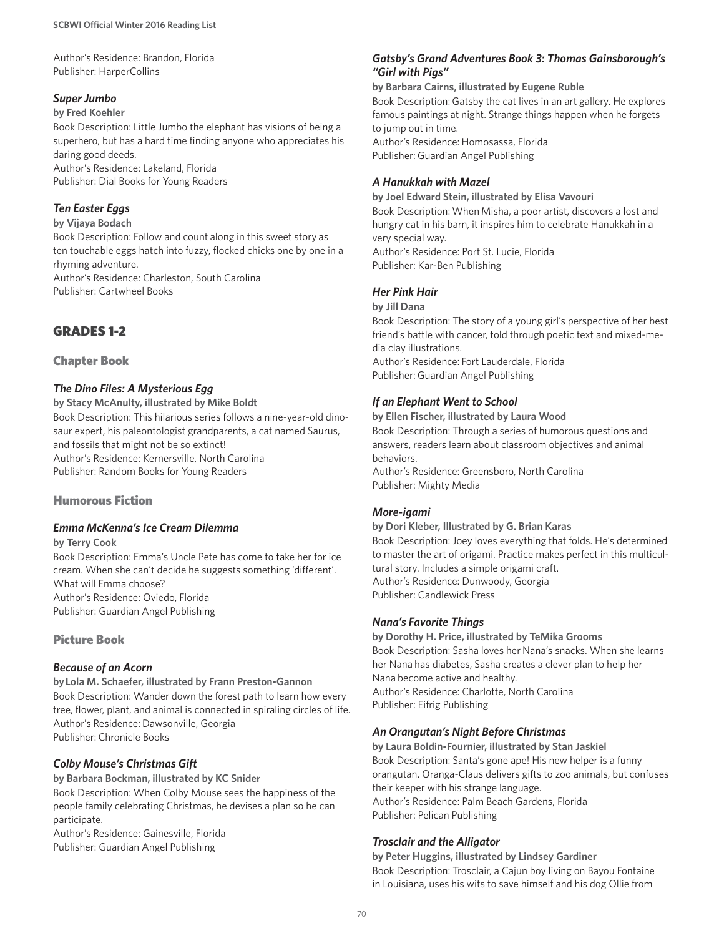Author's Residence: Brandon, Florida Publisher: HarperCollins

#### *Super Jumbo*

#### **by Fred Koehler**

Book Description: Little Jumbo the elephant has visions of being a superhero, but has a hard time finding anyone who appreciates his daring good deeds.

Author's Residence: Lakeland, Florida Publisher: Dial Books for Young Readers

#### *Ten Easter Eggs*

#### **by Vijaya Bodach**

Book Description: Follow and count along in this sweet story as ten touchable eggs hatch into fuzzy, flocked chicks one by one in a rhyming adventure.

Author's Residence: Charleston, South Carolina Publisher: Cartwheel Books

## GRADES 1-2

#### Chapter Book

## *The Dino Files: A Mysterious Egg*

**by Stacy McAnulty, illustrated by Mike Boldt** Book Description: This hilarious series follows a nine-year-old dinosaur expert, his paleontologist grandparents, a cat named Saurus, and fossils that might not be so extinct! Author's Residence: Kernersville, North Carolina Publisher: Random Books for Young Readers

#### Humorous Fiction

#### *Emma McKenna's Ice Cream Dilemma*

**by Terry Cook** 

Book Description: Emma's Uncle Pete has come to take her for ice cream. When she can't decide he suggests something 'different'. What will Emma choose? Author's Residence: Oviedo, Florida Publisher: Guardian Angel Publishing

#### Picture Book

#### *Because of an Acorn*

**by Lola M. Schaefer, illustrated by Frann Preston-Gannon** Book Description: Wander down the forest path to learn how every tree, flower, plant, and animal is connected in spiraling circles of life. Author's Residence: Dawsonville, Georgia Publisher: Chronicle Books

#### *Colby Mouse's Christmas Gift*

**by Barbara Bockman, illustrated by KC Snider** Book Description: When Colby Mouse sees the happiness of the people family celebrating Christmas, he devises a plan so he can participate.

Author's Residence: Gainesville, Florida Publisher: Guardian Angel Publishing

#### *Gatsby's Grand Adventures Book 3: Thomas Gainsborough's "Girl with Pigs"*

#### **by Barbara Cairns, illustrated by Eugene Ruble**

Book Description: Gatsby the cat lives in an art gallery. He explores famous paintings at night. Strange things happen when he forgets to jump out in time. Author's Residence: Homosassa, Florida

Publisher: Guardian Angel Publishing

## *A Hanukkah with Mazel*

**by Joel Edward Stein, illustrated by Elisa Vavouri**  Book Description: When Misha, a poor artist, discovers a lost and hungry cat in his barn, it inspires him to celebrate Hanukkah in a very special way. Author's Residence: Port St. Lucie, Florida

Publisher: Kar-Ben Publishing

## *Her Pink Hair*

**by Jill Dana**

Book Description: The story of a young girl's perspective of her best friend's battle with cancer, told through poetic text and mixed-media clay illustrations. Author's Residence: Fort Lauderdale, Florida Publisher: Guardian Angel Publishing

## *If an Elephant Went to School*

**by Ellen Fischer, illustrated by Laura Wood** Book Description: Through a series of humorous questions and answers, readers learn about classroom objectives and animal behaviors.

Author's Residence: Greensboro, North Carolina Publisher: Mighty Media

#### *More-igami*

#### **by Dori Kleber, Illustrated by G. Brian Karas**

Book Description: Joey loves everything that folds. He's determined to master the art of origami. Practice makes perfect in this multicultural story. Includes a simple origami craft. Author's Residence: Dunwoody, Georgia Publisher: Candlewick Press

#### *Nana's Favorite Things*

**by Dorothy H. Price, illustrated by TeMika Grooms** Book Description: Sasha loves her Nana's snacks. When she learns her Nana has diabetes, Sasha creates a clever plan to help her Nana become active and healthy. Author's Residence: Charlotte, North Carolina Publisher: Eifrig Publishing

#### *An Orangutan's Night Before Christmas*

**by Laura Boldin-Fournier, illustrated by Stan Jaskiel** Book Description: Santa's gone ape! His new helper is a funny orangutan. Oranga-Claus delivers gifts to zoo animals, but confuses their keeper with his strange language. Author's Residence: Palm Beach Gardens, Florida Publisher: Pelican Publishing

#### *Trosclair and the Alligator*

**by Peter Huggins, illustrated by Lindsey Gardiner** Book Description: Trosclair, a Cajun boy living on Bayou Fontaine in Louisiana, uses his wits to save himself and his dog Ollie from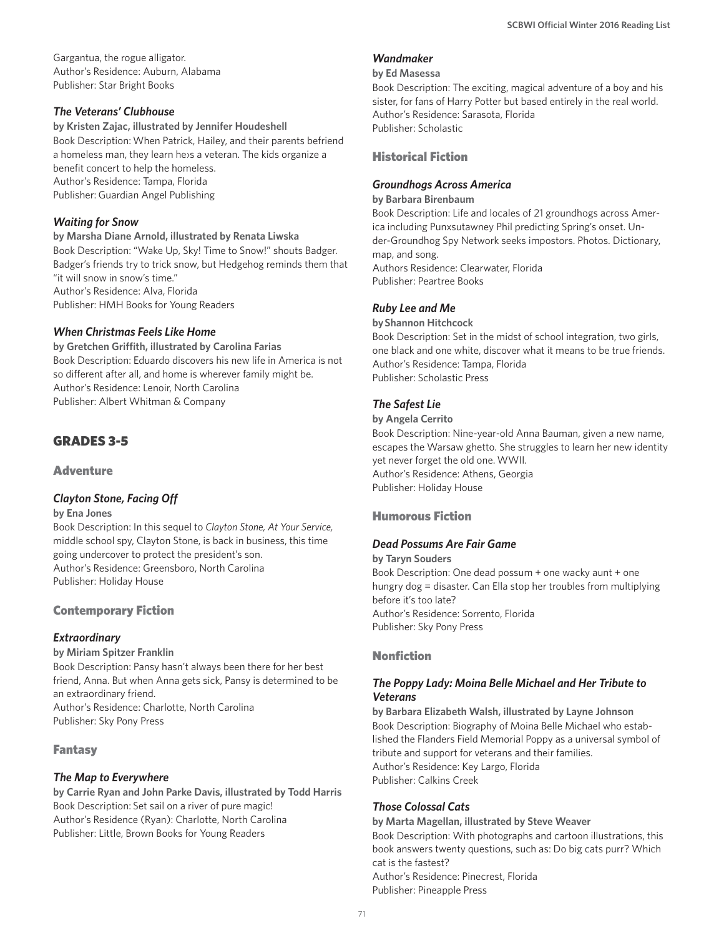Gargantua, the rogue alligator. Author's Residence: Auburn, Alabama Publisher: Star Bright Books

#### *The Veterans' Clubhouse*

**by Kristen Zajac, illustrated by Jennifer Houdeshell** Book Description: When Patrick, Hailey, and their parents befriend a homeless man, they learn he›s a veteran. The kids organize a benefit concert to help the homeless. Author's Residence: Tampa, Florida Publisher: Guardian Angel Publishing

#### *Waiting for Snow*

**by Marsha Diane Arnold, illustrated by Renata Liwska** Book Description: "Wake Up, Sky! Time to Snow!" shouts Badger. Badger's friends try to trick snow, but Hedgehog reminds them that "it will snow in snow's time." Author's Residence: Alva, Florida Publisher: HMH Books for Young Readers

## *When Christmas Feels Like Home*

**by Gretchen Griffith, illustrated by Carolina Farias** Book Description: Eduardo discovers his new life in America is not so different after all, and home is wherever family might be. Author's Residence: Lenoir, North Carolina Publisher: Albert Whitman & Company

## GRADES 3-5

**Adventure** 

## *Clayton Stone, Facing Off*

#### **by Ena Jones**

Book Description: In this sequel to *Clayton Stone, At Your Service,* middle school spy, Clayton Stone, is back in business, this time going undercover to protect the president's son. Author's Residence: Greensboro, North Carolina Publisher: Holiday House

#### Contemporary Fiction

#### *Extraordinary*

**by Miriam Spitzer Franklin** Book Description: Pansy hasn't always been there for her best friend, Anna. But when Anna gets sick, Pansy is determined to be an extraordinary friend. Author's Residence: Charlotte, North Carolina Publisher: Sky Pony Press

#### Fantasy

#### *The Map to Everywhere*

**by Carrie Ryan and John Parke Davis, illustrated by Todd Harris** Book Description: Set sail on a river of pure magic! Author's Residence (Ryan): Charlotte, North Carolina Publisher: Little, Brown Books for Young Readers

#### *Wandmaker*

#### **by Ed Masessa**

Book Description: The exciting, magical adventure of a boy and his sister, for fans of Harry Potter but based entirely in the real world. Author's Residence: Sarasota, Florida Publisher: Scholastic

## Historical Fiction

#### *Groundhogs Across America*

#### **by Barbara Birenbaum**

Book Description: Life and locales of 21 groundhogs across America including Punxsutawney Phil predicting Spring's onset. Under-Groundhog Spy Network seeks impostors. Photos. Dictionary, map, and song. Authors Residence: Clearwater, Florida Publisher: Peartree Books

## *Ruby Lee and Me*

**by Shannon Hitchcock**

Book Description: Set in the midst of school integration, two girls, one black and one white, discover what it means to be true friends. Author's Residence: Tampa, Florida Publisher: Scholastic Press

## *The Safest Lie*

**by Angela Cerrito**

Book Description: Nine-year-old Anna Bauman, given a new name, escapes the Warsaw ghetto. She struggles to learn her new identity yet never forget the old one. WWII. Author's Residence: Athens, Georgia Publisher: Holiday House

## Humorous Fiction

#### *Dead Possums Are Fair Game*

**by Taryn Souders** Book Description: One dead possum + one wacky aunt + one hungry dog = disaster. Can Ella stop her troubles from multiplying before it's too late? Author's Residence: Sorrento, Florida Publisher: Sky Pony Press

## Nonfiction

#### *The Poppy Lady: Moina Belle Michael and Her Tribute to Veterans*

**by Barbara Elizabeth Walsh, illustrated by Layne Johnson** Book Description: Biography of Moina Belle Michael who established the Flanders Field Memorial Poppy as a universal symbol of tribute and support for veterans and their families. Author's Residence: Key Largo, Florida Publisher: Calkins Creek

#### *Those Colossal Cats*

**by Marta Magellan, illustrated by Steve Weaver** Book Description: With photographs and cartoon illustrations, this book answers twenty questions, such as: Do big cats purr? Which cat is the fastest? Author's Residence: Pinecrest, Florida Publisher: Pineapple Press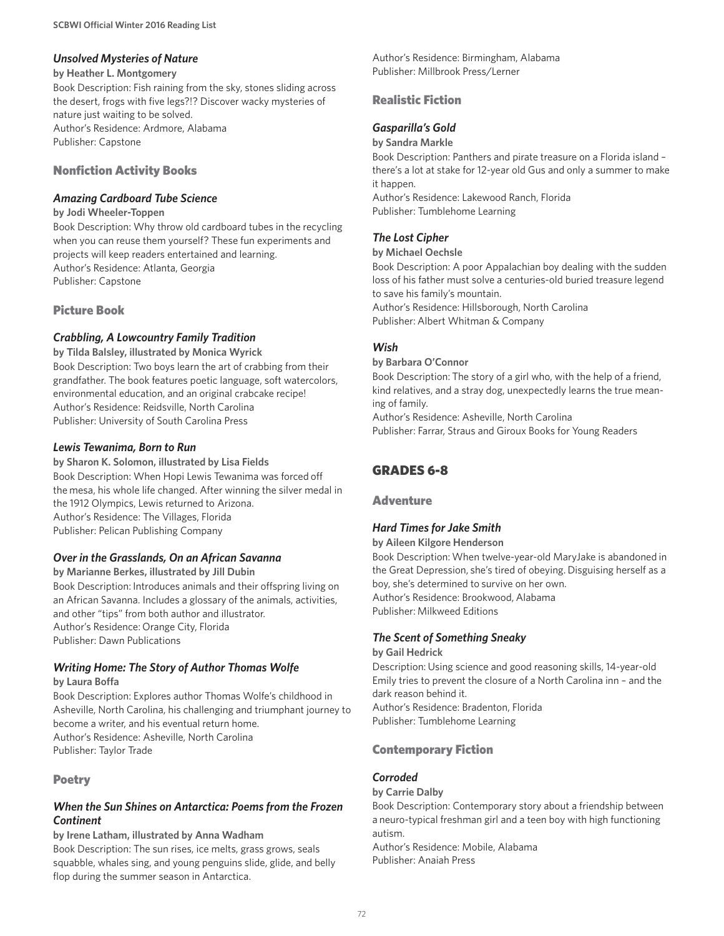## *Unsolved Mysteries of Nature*

#### **by Heather L. Montgomery**

Book Description: Fish raining from the sky, stones sliding across the desert, frogs with five legs?!? Discover wacky mysteries of nature just waiting to be solved. Author's Residence: Ardmore, Alabama Publisher: Capstone

## Nonfiction Activity Books

#### *Amazing Cardboard Tube Science*

#### **by Jodi Wheeler-Toppen**

Book Description: Why throw old cardboard tubes in the recycling when you can reuse them yourself? These fun experiments and projects will keep readers entertained and learning. Author's Residence: Atlanta, Georgia Publisher: Capstone

## Picture Book

## *Crabbling, A Lowcountry Family Tradition*

**by Tilda Balsley, illustrated by Monica Wyrick** Book Description: Two boys learn the art of crabbing from their grandfather. The book features poetic language, soft watercolors, environmental education, and an original crabcake recipe! Author's Residence: Reidsville, North Carolina Publisher: University of South Carolina Press

## *Lewis Tewanima, Born to Run*

**by Sharon K. Solomon, illustrated by Lisa Fields** Book Description: When Hopi Lewis Tewanima was forced off the mesa, his whole life changed. After winning the silver medal in the 1912 Olympics, Lewis returned to Arizona. Author's Residence: The Villages, Florida Publisher: Pelican Publishing Company

## *Over in the Grasslands, On an African Savanna*

**by Marianne Berkes, illustrated by Jill Dubin** Book Description: Introduces animals and their offspring living on an African Savanna. Includes a glossary of the animals, activities, and other "tips" from both author and illustrator. Author's Residence: Orange City, Florida Publisher: Dawn Publications

## *Writing Home: The Story of Author Thomas Wolfe*

#### **by Laura Boffa**

Book Description: Explores author Thomas Wolfe's childhood in Asheville, North Carolina, his challenging and triumphant journey to become a writer, and his eventual return home. Author's Residence: Asheville, North Carolina Publisher: Taylor Trade

#### Poetry

## *When the Sun Shines on Antarctica: Poems from the Frozen Continent*

#### **by Irene Latham, illustrated by Anna Wadham**

Book Description: The sun rises, ice melts, grass grows, seals squabble, whales sing, and young penguins slide, glide, and belly flop during the summer season in Antarctica.

Author's Residence: Birmingham, Alabama Publisher: Millbrook Press/Lerner

## Realistic Fiction

## *Gasparilla's Gold*

**by Sandra Markle**

Book Description: Panthers and pirate treasure on a Florida island – there's a lot at stake for 12-year old Gus and only a summer to make it happen. Author's Residence: Lakewood Ranch, Florida

Publisher: Tumblehome Learning

## *The Lost Cipher*

**by Michael Oechsle**

Book Description: A poor Appalachian boy dealing with the sudden loss of his father must solve a centuries-old buried treasure legend to save his family's mountain. Author's Residence: Hillsborough, North Carolina

Publisher: Albert Whitman & Company

## *Wish*

**by Barbara O'Connor**

Book Description: The story of a girl who, with the help of a friend, kind relatives, and a stray dog, unexpectedly learns the true meaning of family.

Author's Residence: Asheville, North Carolina Publisher: Farrar, Straus and Giroux Books for Young Readers

# GRADES 6-8

#### **Adventure**

## *Hard Times for Jake Smith*

**by Aileen Kilgore Henderson**

Book Description: When twelve-year-old MaryJake is abandoned in the Great Depression, she's tired of obeying. Disguising herself as a boy, she's determined to survive on her own. Author's Residence: Brookwood, Alabama Publisher: Milkweed Editions

## *The Scent of Something Sneaky*

#### **by Gail Hedrick**

Description: Using science and good reasoning skills, 14-year-old Emily tries to prevent the closure of a North Carolina inn – and the dark reason behind it.

Author's Residence: Bradenton, Florida Publisher: Tumblehome Learning

## Contemporary Fiction

## *Corroded*

#### **by Carrie Dalby**

Book Description: Contemporary story about a friendship between a neuro-typical freshman girl and a teen boy with high functioning autism.

Author's Residence: Mobile, Alabama Publisher: Anaiah Press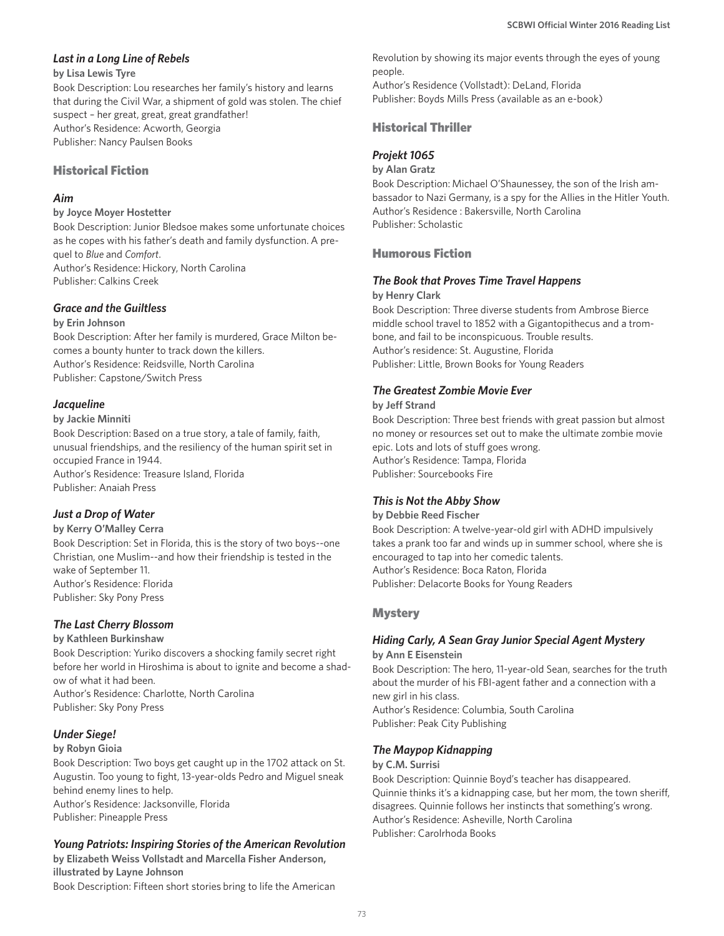## *Last in a Long Line of Rebels*

#### **by Lisa Lewis Tyre**

Book Description: Lou researches her family's history and learns that during the Civil War, a shipment of gold was stolen. The chief suspect – her great, great, great grandfather! Author's Residence: Acworth, Georgia Publisher: Nancy Paulsen Books

#### Historical Fiction

## *Aim*

#### **by Joyce Moyer Hostetter**

Book Description: Junior Bledsoe makes some unfortunate choices as he copes with his father's death and family dysfunction. A prequel to *Blue* and *Comfort*. Author's Residence: Hickory, North Carolina Publisher: Calkins Creek

#### *Grace and the Guiltless*

#### **by Erin Johnson**

Book Description: After her family is murdered, Grace Milton becomes a bounty hunter to track down the killers. Author's Residence: Reidsville, North Carolina Publisher: Capstone/Switch Press

## *Jacqueline*

#### **by Jackie Minniti**

Book Description: Based on a true story, a tale of family, faith, unusual friendships, and the resiliency of the human spirit set in occupied France in 1944. Author's Residence: Treasure Island, Florida Publisher: Anaiah Press

## *Just a Drop of Water*

#### **by Kerry O'Malley Cerra**

Book Description: Set in Florida, this is the story of two boys--one Christian, one Muslim--and how their friendship is tested in the wake of September 11. Author's Residence: Florida Publisher: Sky Pony Press

## *The Last Cherry Blossom*

#### **by Kathleen Burkinshaw**

Book Description: Yuriko discovers a shocking family secret right before her world in Hiroshima is about to ignite and become a shadow of what it had been. Author's Residence: Charlotte, North Carolina

Publisher: Sky Pony Press

## *Under Siege!*

#### **by Robyn Gioia**

Book Description: Two boys get caught up in the 1702 attack on St. Augustin. Too young to fight, 13-year-olds Pedro and Miguel sneak behind enemy lines to help. Author's Residence: Jacksonville, Florida Publisher: Pineapple Press

## *Young Patriots: Inspiring Stories of the American Revolution*

**by Elizabeth Weiss Vollstadt and Marcella Fisher Anderson, illustrated by Layne Johnson**  Book Description: Fifteen short stories bring to life the American

Revolution by showing its major events through the eyes of young people.

Author's Residence (Vollstadt): DeLand, Florida Publisher: Boyds Mills Press (available as an e-book)

## Historical Thriller

## *Projekt 1065*

#### **by Alan Gratz**

Book Description: Michael O'Shaunessey, the son of the Irish ambassador to Nazi Germany, is a spy for the Allies in the Hitler Youth. Author's Residence : Bakersville, North Carolina Publisher: Scholastic

## Humorous Fiction

## *The Book that Proves Time Travel Happens*

#### **by Henry Clark**

Book Description: Three diverse students from Ambrose Bierce middle school travel to 1852 with a Gigantopithecus and a trombone, and fail to be inconspicuous. Trouble results. Author's residence: St. Augustine, Florida Publisher: Little, Brown Books for Young Readers

## *The Greatest Zombie Movie Ever*

#### **by Jeff Strand**

Book Description: Three best friends with great passion but almost no money or resources set out to make the ultimate zombie movie epic. Lots and lots of stuff goes wrong. Author's Residence: Tampa, Florida Publisher: Sourcebooks Fire

#### *This is Not the Abby Show*

#### **by Debbie Reed Fischer**

Book Description: A twelve-year-old girl with ADHD impulsively takes a prank too far and winds up in summer school, where she is encouraged to tap into her comedic talents. Author's Residence: Boca Raton, Florida Publisher: Delacorte Books for Young Readers

## **Mystery**

## *Hiding Carly, A Sean Gray Junior Special Agent Mystery*

**by Ann E Eisenstein**

Book Description: The hero, 11-year-old Sean, searches for the truth about the murder of his FBI-agent father and a connection with a new girl in his class. Author's Residence: Columbia, South Carolina Publisher: Peak City Publishing

## *The Maypop Kidnapping*

#### **by C.M. Surrisi**

Book Description: Quinnie Boyd's teacher has disappeared. Quinnie thinks it's a kidnapping case, but her mom, the town sheriff, disagrees. Quinnie follows her instincts that something's wrong. Author's Residence: Asheville, North Carolina Publisher: Carolrhoda Books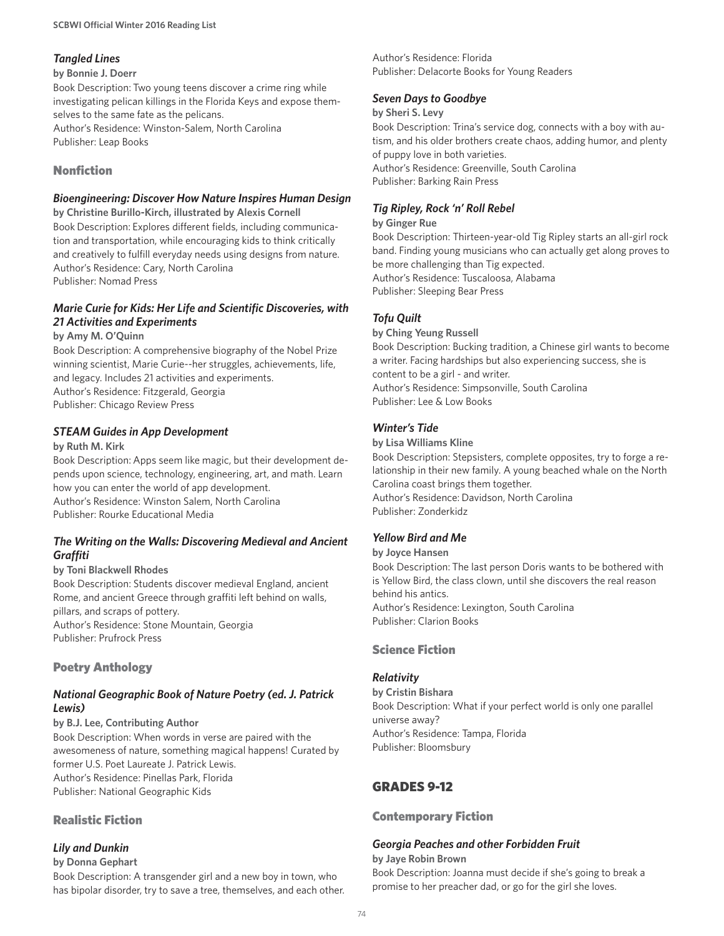#### *Tangled Lines*

#### **by Bonnie J. Doerr**

Book Description: Two young teens discover a crime ring while investigating pelican killings in the Florida Keys and expose themselves to the same fate as the pelicans. Author's Residence: Winston-Salem, North Carolina Publisher: Leap Books

## Nonfiction

#### *Bioengineering: Discover How Nature Inspires Human Design*

**by Christine Burillo-Kirch, illustrated by Alexis Cornell** Book Description: Explores different fields, including communication and transportation, while encouraging kids to think critically and creatively to fulfill everyday needs using designs from nature. Author's Residence: Cary, North Carolina Publisher: Nomad Press

## *Marie Curie for Kids: Her Life and Scientific Discoveries, with 21 Activities and Experiments*

#### **by Amy M. O'Quinn**

Book Description: A comprehensive biography of the Nobel Prize winning scientist, Marie Curie--her struggles, achievements, life, and legacy. Includes 21 activities and experiments. Author's Residence: Fitzgerald, Georgia Publisher: Chicago Review Press

## *STEAM Guides in App Development*

#### **by Ruth M. Kirk**

Book Description: Apps seem like magic, but their development depends upon science, technology, engineering, art, and math. Learn how you can enter the world of app development. Author's Residence: Winston Salem, North Carolina Publisher: Rourke Educational Media

## *The Writing on the Walls: Discovering Medieval and Ancient Graffiti*

#### **by Toni Blackwell Rhodes**

Book Description: Students discover medieval England, ancient Rome, and ancient Greece through graffiti left behind on walls, pillars, and scraps of pottery. Author's Residence: Stone Mountain, Georgia Publisher: Prufrock Press

## Poetry Anthology

## *National Geographic Book of Nature Poetry (ed. J. Patrick Lewis)*

#### **by B.J. Lee, Contributing Author**

Book Description: When words in verse are paired with the awesomeness of nature, something magical happens! Curated by former U.S. Poet Laureate J. Patrick Lewis. Author's Residence: Pinellas Park, Florida Publisher: National Geographic Kids

## Realistic Fiction

## *Lily and Dunkin*

#### **by Donna Gephart**

Book Description: A transgender girl and a new boy in town, who has bipolar disorder, try to save a tree, themselves, and each other.

Author's Residence: Florida Publisher: Delacorte Books for Young Readers

## *Seven Days to Goodbye*

#### **by Sheri S. Levy**

Book Description: Trina's service dog, connects with a boy with autism, and his older brothers create chaos, adding humor, and plenty of puppy love in both varieties. Author's Residence: Greenville, South Carolina Publisher: Barking Rain Press

## *Tig Ripley, Rock 'n' Roll Rebel*

#### **by Ginger Rue**

Book Description: Thirteen-year-old Tig Ripley starts an all-girl rock band. Finding young musicians who can actually get along proves to be more challenging than Tig expected. Author's Residence: Tuscaloosa, Alabama Publisher: Sleeping Bear Press

## *Tofu Quilt*

**by Ching Yeung Russell**

Book Description: Bucking tradition, a Chinese girl wants to become a writer. Facing hardships but also experiencing success, she is content to be a girl - and writer. Author's Residence: Simpsonville, South Carolina Publisher: Lee & Low Books

## *Winter's Tide*

#### **by Lisa Williams Kline**

Book Description: Stepsisters, complete opposites, try to forge a relationship in their new family. A young beached whale on the North Carolina coast brings them together. Author's Residence: Davidson, North Carolina Publisher: Zonderkidz

## *Yellow Bird and Me*

#### **by Joyce Hansen**

Book Description: The last person Doris wants to be bothered with is Yellow Bird, the class clown, until she discovers the real reason behind his antics. Author's Residence: Lexington, South Carolina

Publisher: Clarion Books

## Science Fiction

## *Relativity*

**by Cristin Bishara** Book Description: What if your perfect world is only one parallel universe away? Author's Residence: Tampa, Florida Publisher: Bloomsbury

## GRADES 9-12

#### Contemporary Fiction

## *Georgia Peaches and other Forbidden Fruit*

#### **by Jaye Robin Brown**

Book Description: Joanna must decide if she's going to break a promise to her preacher dad, or go for the girl she loves.